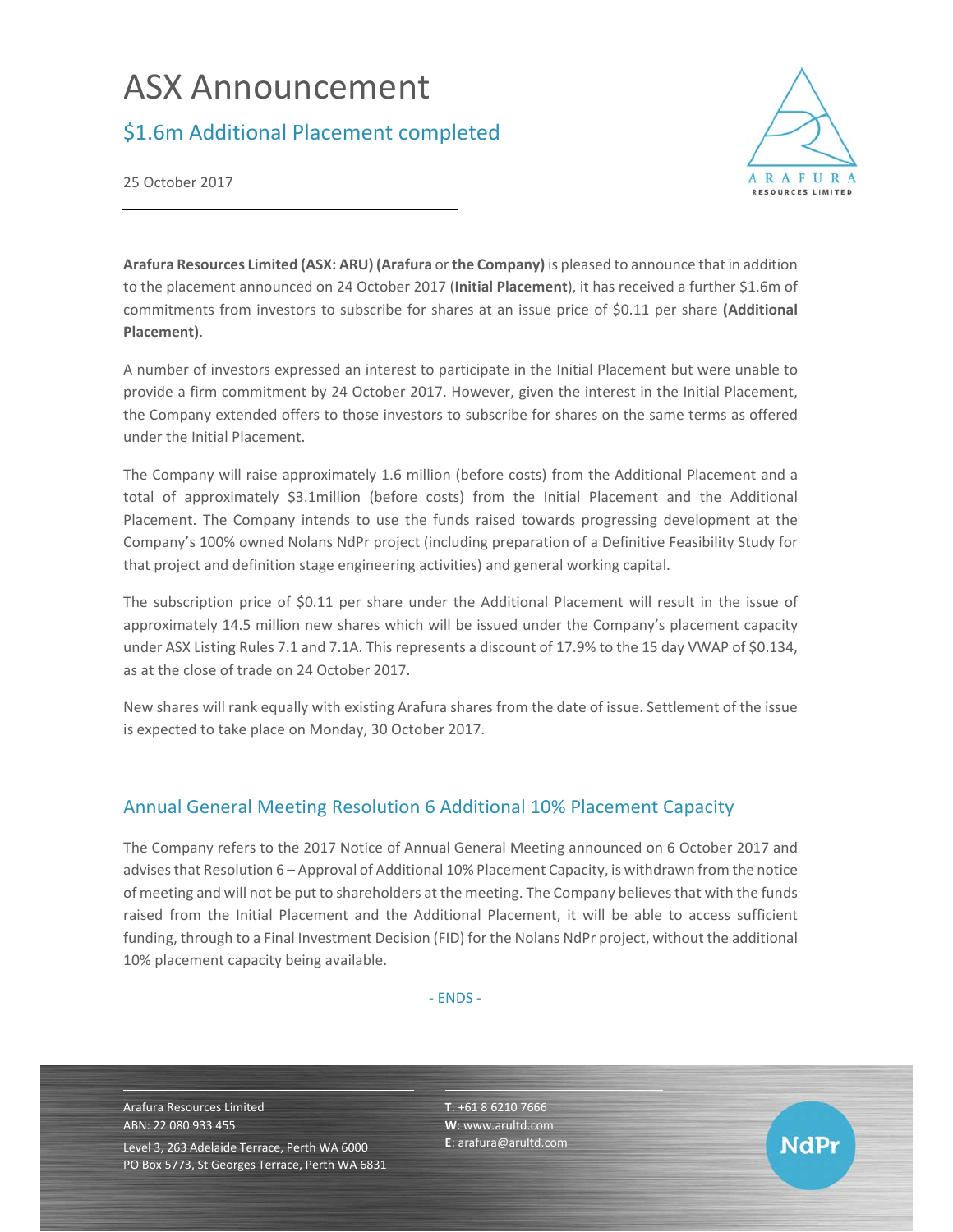# ASX Announcement

## \$1.6m Additional Placement completed



25 October 2017

**Arafura Resources Limited (ASX: ARU) (Arafura** or **the Company)** is pleased to announce that in addition to the placement announced on 24 October 2017 (**Initial Placement**), it has received a further \$1.6m of commitments from investors to subscribe for shares at an issue price of \$0.11 per share **(Additional Placement)**.

A number of investors expressed an interest to participate in the Initial Placement but were unable to provide a firm commitment by 24 October 2017. However, given the interest in the Initial Placement, the Company extended offers to those investors to subscribe for shares on the same terms as offered under the Initial Placement.

The Company will raise approximately 1.6 million (before costs) from the Additional Placement and a total of approximately \$3.1million (before costs) from the Initial Placement and the Additional Placement. The Company intends to use the funds raised towards progressing development at the Company's 100% owned Nolans NdPr project (including preparation of a Definitive Feasibility Study for that project and definition stage engineering activities) and general working capital.

The subscription price of \$0.11 per share under the Additional Placement will result in the issue of approximately 14.5 million new shares which will be issued under the Company's placement capacity under ASX Listing Rules 7.1 and 7.1A. This represents a discount of 17.9% to the 15 day VWAP of \$0.134, as at the close of trade on 24 October 2017.

New shares will rank equally with existing Arafura shares from the date of issue. Settlement of the issue is expected to take place on Monday, 30 October 2017.

### Annual General Meeting Resolution 6 Additional 10% Placement Capacity

The Company refers to the 2017 Notice of Annual General Meeting announced on 6 October 2017 and advises that Resolution 6 – Approval of Additional 10% Placement Capacity, is withdrawn from the notice of meeting and will not be put to shareholders at the meeting. The Company believes that with the funds raised from the Initial Placement and the Additional Placement, it will be able to access sufficient funding, through to a Final Investment Decision (FID) for the Nolans NdPr project, without the additional 10% placement capacity being available.

‐ ENDS ‐

Arafura Resources Limited ABN: 22 080 933 455 Level 3, 263 Adelaide Terrace, Perth WA 6000 PO Box 5773, St Georges Terrace, Perth WA 6831 **T**: +61 8 6210 7666 **W**: www.arultd.com **E**: arafura@arultd.com

**NdPr**